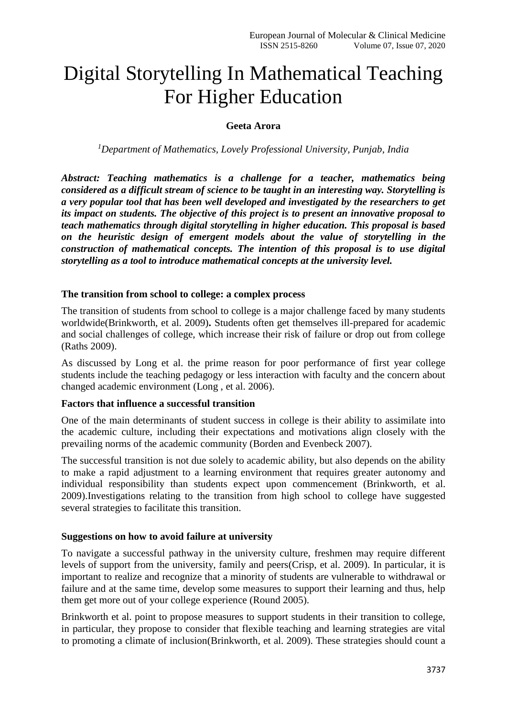# Digital Storytelling In Mathematical Teaching For Higher Education

## **Geeta Arora**

*<sup>1</sup>Department of Mathematics, Lovely Professional University, Punjab, India*

*Abstract: Teaching mathematics is a challenge for a teacher, mathematics being considered as a difficult stream of science to be taught in an interesting way. Storytelling is a very popular tool that has been well developed and investigated by the researchers to get its impact on students. The objective of this project is to present an innovative proposal to teach mathematics through digital storytelling in higher education. This proposal is based on the heuristic design of emergent models about the value of storytelling in the construction of mathematical concepts. The intention of this proposal is to use digital storytelling as a tool to introduce mathematical concepts at the university level.* 

#### **The transition from school to college: a complex process**

The transition of students from school to college is a major challenge faced by many students worldwide(Brinkworth, et al. 2009)**.** Students often get themselves ill-prepared for academic and social challenges of college, which increase their risk of failure or drop out from college (Raths 2009).

As discussed by Long et al. the prime reason for poor performance of first year college students include the teaching pedagogy or less interaction with faculty and the concern about changed academic environment (Long , et al. 2006).

#### **Factors that influence a successful transition**

One of the main determinants of student success in college is their ability to assimilate into the academic culture, including their expectations and motivations align closely with the prevailing norms of the academic community (Borden and Evenbeck 2007).

The successful transition is not due solely to academic ability, but also depends on the ability to make a rapid adjustment to a learning environment that requires greater autonomy and individual responsibility than students expect upon commencement (Brinkworth, et al. 2009).Investigations relating to the transition from high school to college have suggested several strategies to facilitate this transition.

#### **Suggestions on how to avoid failure at university**

To navigate a successful pathway in the university culture, freshmen may require different levels of support from the university, family and peers(Crisp, et al. 2009). In particular, it is important to realize and recognize that a minority of students are vulnerable to withdrawal or failure and at the same time, develop some measures to support their learning and thus, help them get more out of your college experience (Round 2005).

Brinkworth et al. point to propose measures to support students in their transition to college, in particular, they propose to consider that flexible teaching and learning strategies are vital to promoting a climate of inclusion(Brinkworth, et al. 2009). These strategies should count a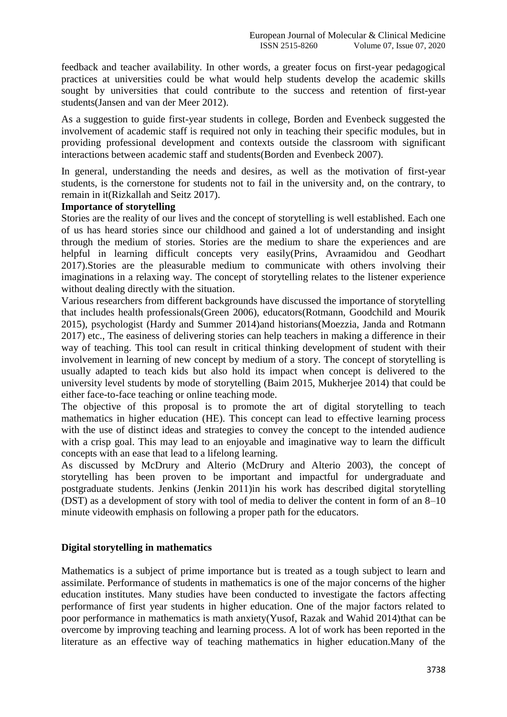feedback and teacher availability. In other words, a greater focus on first-year pedagogical practices at universities could be what would help students develop the academic skills sought by universities that could contribute to the success and retention of first-year students(Jansen and van der Meer 2012).

As a suggestion to guide first-year students in college, Borden and Evenbeck suggested the involvement of academic staff is required not only in teaching their specific modules, but in providing professional development and contexts outside the classroom with significant interactions between academic staff and students(Borden and Evenbeck 2007).

In general, understanding the needs and desires, as well as the motivation of first-year students, is the cornerstone for students not to fail in the university and, on the contrary, to remain in it(Rizkallah and Seitz 2017).

#### **Importance of storytelling**

Stories are the reality of our lives and the concept of storytelling is well established. Each one of us has heard stories since our childhood and gained a lot of understanding and insight through the medium of stories. Stories are the medium to share the experiences and are helpful in learning difficult concepts very easily(Prins, Avraamidou and Geodhart 2017).Stories are the pleasurable medium to communicate with others involving their imaginations in a relaxing way. The concept of storytelling relates to the listener experience without dealing directly with the situation.

Various researchers from different backgrounds have discussed the importance of storytelling that includes health professionals(Green 2006), educators(Rotmann, Goodchild and Mourik 2015), psychologist (Hardy and Summer 2014)and historians(Moezzia, Janda and Rotmann 2017) etc., The easiness of delivering stories can help teachers in making a difference in their way of teaching. This tool can result in critical thinking development of student with their involvement in learning of new concept by medium of a story. The concept of storytelling is usually adapted to teach kids but also hold its impact when concept is delivered to the university level students by mode of storytelling (Baim 2015, Mukherjee 2014) that could be either face-to-face teaching or online teaching mode.

The objective of this proposal is to promote the art of digital storytelling to teach mathematics in higher education (HE). This concept can lead to effective learning process with the use of distinct ideas and strategies to convey the concept to the intended audience with a crisp goal. This may lead to an enjoyable and imaginative way to learn the difficult concepts with an ease that lead to a lifelong learning.

As discussed by McDrury and Alterio (McDrury and Alterio 2003), the concept of storytelling has been proven to be important and impactful for undergraduate and postgraduate students. Jenkins (Jenkin 2011)in his work has described digital storytelling (DST) as a development of story with tool of media to deliver the content in form of an 8–10 minute videowith emphasis on following a proper path for the educators.

#### **Digital storytelling in mathematics**

Mathematics is a subject of prime importance but is treated as a tough subject to learn and assimilate. Performance of students in mathematics is one of the major concerns of the higher education institutes. Many studies have been conducted to investigate the factors affecting performance of first year students in higher education. One of the major factors related to poor performance in mathematics is math anxiety(Yusof, Razak and Wahid 2014)that can be overcome by improving teaching and learning process. A lot of work has been reported in the literature as an effective way of teaching mathematics in higher education.Many of the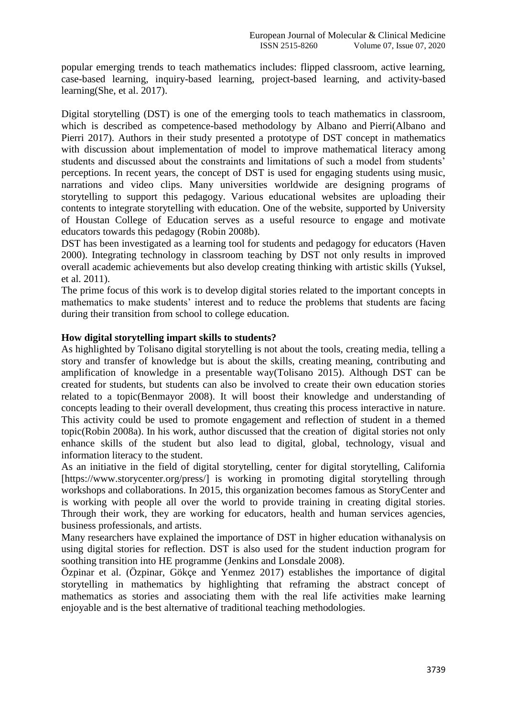popular emerging trends to teach mathematics includes: flipped classroom, active learning, case-based learning, inquiry-based learning, project-based learning, and activity-based learning(She, et al. 2017).

Digital storytelling (DST) is one of the emerging tools to teach mathematics in classroom, which is described as competence-based methodology by Albano and Pierri(Albano and Pierri 2017). Authors in their study presented a prototype of DST concept in mathematics with discussion about implementation of model to improve mathematical literacy among students and discussed about the constraints and limitations of such a model from students' perceptions. In recent years, the concept of DST is used for engaging students using music, narrations and video clips. Many universities worldwide are designing programs of storytelling to support this pedagogy. Various educational websites are uploading their contents to integrate storytelling with education. One of the website, supported by University of Houstan College of Education serves as a useful resource to engage and motivate educators towards this pedagogy (Robin 2008b).

DST has been investigated as a learning tool for students and pedagogy for educators (Haven 2000). Integrating technology in classroom teaching by DST not only results in improved overall academic achievements but also develop creating thinking with artistic skills (Yuksel, et al. 2011).

The prime focus of this work is to develop digital stories related to the important concepts in mathematics to make students' interest and to reduce the problems that students are facing during their transition from school to college education.

#### **How digital storytelling impart skills to students?**

As highlighted by Tolisano digital storytelling is not about the tools, creating media, telling a story and transfer of knowledge but is about the skills, creating meaning, contributing and amplification of knowledge in a presentable way(Tolisano 2015). Although DST can be created for students, but students can also be involved to create their own education stories related to a topic(Benmayor 2008). It will boost their knowledge and understanding of concepts leading to their overall development, thus creating this process interactive in nature. This activity could be used to promote engagement and reflection of student in a themed topic(Robin 2008a). In his work, author discussed that the creation of digital stories not only enhance skills of the student but also lead to digital, global, technology, visual and information literacy to the student.

As an initiative in the field of digital storytelling, center for digital storytelling, California [https://www.storycenter.org/press/] is working in promoting digital storytelling through workshops and collaborations. In 2015, this organization becomes famous as StoryCenter and is working with people all over the world to provide training in creating digital stories. Through their work, they are working for educators, health and human services agencies, business professionals, and artists.

Many researchers have explained the importance of DST in higher education withanalysis on using digital stories for reflection. DST is also used for the student induction program for soothing transition into HE programme (Jenkins and Lonsdale 2008).

Özpinar et al. (Özpinar, Gökçe and Yenmez 2017) establishes the importance of digital storytelling in mathematics by highlighting that reframing the abstract concept of mathematics as stories and associating them with the real life activities make learning enjoyable and is the best alternative of traditional teaching methodologies.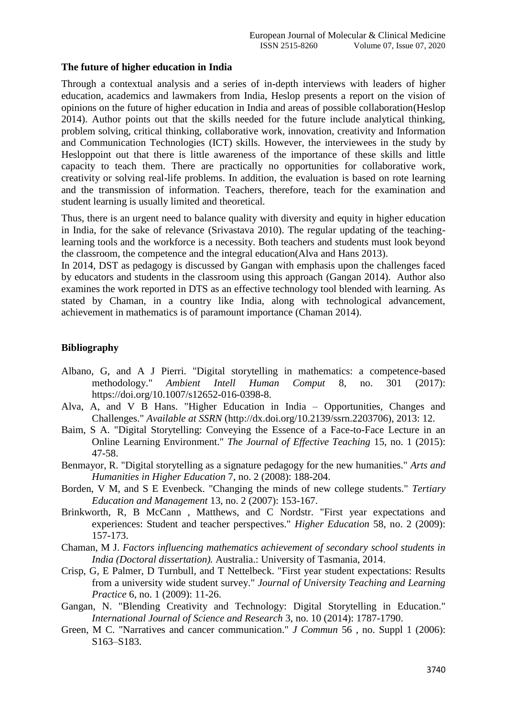### **The future of higher education in India**

Through a contextual analysis and a series of in-depth interviews with leaders of higher education, academics and lawmakers from India, Heslop presents a report on the vision of opinions on the future of higher education in India and areas of possible collaboration(Heslop 2014). Author points out that the skills needed for the future include analytical thinking, problem solving, critical thinking, collaborative work, innovation, creativity and Information and Communication Technologies (ICT) skills. However, the interviewees in the study by Hesloppoint out that there is little awareness of the importance of these skills and little capacity to teach them. There are practically no opportunities for collaborative work, creativity or solving real-life problems. In addition, the evaluation is based on rote learning and the transmission of information. Teachers, therefore, teach for the examination and student learning is usually limited and theoretical.

Thus, there is an urgent need to balance quality with diversity and equity in higher education in India, for the sake of relevance (Srivastava 2010). The regular updating of the teachinglearning tools and the workforce is a necessity. Both teachers and students must look beyond the classroom, the competence and the integral education(Alva and Hans 2013).

In 2014, DST as pedagogy is discussed by Gangan with emphasis upon the challenges faced by educators and students in the classroom using this approach (Gangan 2014). Author also examines the work reported in DTS as an effective technology tool blended with learning. As stated by Chaman, in a country like India, along with technological advancement, achievement in mathematics is of paramount importance (Chaman 2014).

## **Bibliography**

- Albano, G, and A J Pierri. "Digital storytelling in mathematics: a competence-based methodology." *Ambient Intell Human Comput* 8, no. 301 (2017): https://doi.org/10.1007/s12652-016-0398-8.
- Alva, A, and V B Hans. "Higher Education in India Opportunities, Changes and Challenges." *Available at SSRN* (http://dx.doi.org/10.2139/ssrn.2203706), 2013: 12.
- Baim, S A. "Digital Storytelling: Conveying the Essence of a Face-to-Face Lecture in an Online Learning Environment." *The Journal of Effective Teaching* 15, no. 1 (2015): 47-58.
- Benmayor, R. "Digital storytelling as a signature pedagogy for the new humanities." *Arts and Humanities in Higher Education* 7, no. 2 (2008): 188-204.
- Borden, V M, and S E Evenbeck. "Changing the minds of new college students." *Tertiary Education and Management* 13, no. 2 (2007): 153-167.
- Brinkworth, R, B McCann , Matthews, and C Nordstr. "First year expectations and experiences: Student and teacher perspectives." *Higher Education* 58, no. 2 (2009): 157-173.
- Chaman, M J. *Factors influencing mathematics achievement of secondary school students in India (Doctoral dissertation).* Australia.: University of Tasmania, 2014.
- Crisp, G, E Palmer, D Turnbull, and T Nettelbeck. "First year student expectations: Results from a university wide student survey." *Journal of University Teaching and Learning Practice* 6, no. 1 (2009): 11-26.
- Gangan, N. "Blending Creativity and Technology: Digital Storytelling in Education." *International Journal of Science and Research* 3, no. 10 (2014): 1787-1790.
- Green, M C. "Narratives and cancer communication." *J Commun* 56 , no. Suppl 1 (2006): S163–S183.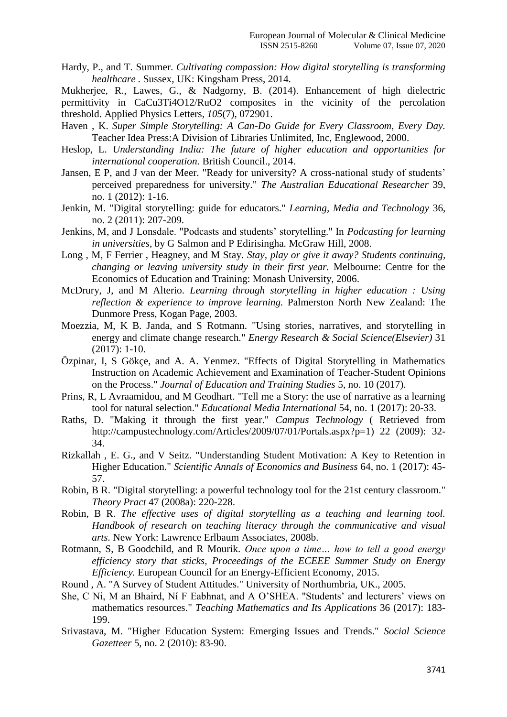Hardy, P., and T. Summer. *Cultivating compassion: How digital storytelling is transforming healthcare .* Sussex, UK: Kingsham Press, 2014.

Mukherjee, R., Lawes, G., & Nadgorny, B. (2014). Enhancement of high dielectric permittivity in CaCu3Ti4O12/RuO2 composites in the vicinity of the percolation threshold. Applied Physics Letters, *105*(7), 072901.

- Haven , K. *Super Simple Storytelling: A Can-Do Guide for Every Classroom, Every Day.* Teacher Idea Press:A Division of Libraries Unlimited, Inc, Englewood, 2000.
- Heslop, L. *Understanding India: The future of higher education and opportunities for international cooperation.* British Council., 2014.
- Jansen, E P, and J van der Meer. "Ready for university? A cross-national study of students' perceived preparedness for university." *The Australian Educational Researcher* 39, no. 1 (2012): 1-16.
- Jenkin, M. "Digital storytelling: guide for educators." *Learning, Media and Technology* 36, no. 2 (2011): 207-209.
- Jenkins, M, and J Lonsdale. "Podcasts and students' storytelling." In *Podcasting for learning in universities*, by G Salmon and P Edirisingha. McGraw Hill, 2008.
- Long , M, F Ferrier , Heagney, and M Stay. *Stay, play or give it away? Students continuing, changing or leaving university study in their first year.* Melbourne: Centre for the Economics of Education and Training: Monash University, 2006.
- McDrury, J, and M Alterio. *Learning through storytelling in higher education : Using reflection & experience to improve learning.* Palmerston North New Zealand: The Dunmore Press, Kogan Page, 2003.
- Moezzia, M, K B. Janda, and S Rotmann. "Using stories, narratives, and storytelling in energy and climate change research." *Energy Research & Social Science(Elsevier)* 31 (2017): 1-10.
- Özpinar, I, S Gökçe, and A. A. Yenmez. "Effects of Digital Storytelling in Mathematics Instruction on Academic Achievement and Examination of Teacher-Student Opinions on the Process." *Journal of Education and Training Studies* 5, no. 10 (2017).
- Prins, R, L Avraamidou, and M Geodhart. "Tell me a Story: the use of narrative as a learning tool for natural selection." *Educational Media International* 54, no. 1 (2017): 20-33.
- Raths, D. "Making it through the first year." *Campus Technology* ( Retrieved from http://campustechnology.com/Articles/2009/07/01/Portals.aspx?p=1) 22 (2009): 32-34.
- Rizkallah , E. G., and V Seitz. "Understanding Student Motivation: A Key to Retention in Higher Education." *Scientific Annals of Economics and Business* 64, no. 1 (2017): 45- 57.
- Robin, B R. "Digital storytelling: a powerful technology tool for the 21st century classroom." *Theory Pract* 47 (2008a): 220-228.
- Robin, B R. *The effective uses of digital storytelling as a teaching and learning tool. Handbook of research on teaching literacy through the communicative and visual arts.* New York: Lawrence Erlbaum Associates, 2008b.
- Rotmann, S, B Goodchild, and R Mourik. *Once upon a time… how to tell a good energy efficiency story that sticks, Proceedings of the ECEEE Summer Study on Energy Efficiency.* European Council for an Energy-Efficient Economy, 2015.
- Round , A. "A Survey of Student Attitudes." University of Northumbria, UK., 2005.
- She, C Ni, M an Bhaird, Ní F Eabhnat, and A O'SHEA. "Students' and lecturers' views on mathematics resources." *Teaching Mathematics and Its Applications* 36 (2017): 183- 199.
- Srivastava, M. "Higher Education System: Emerging Issues and Trends." *Social Science Gazetteer* 5, no. 2 (2010): 83-90.